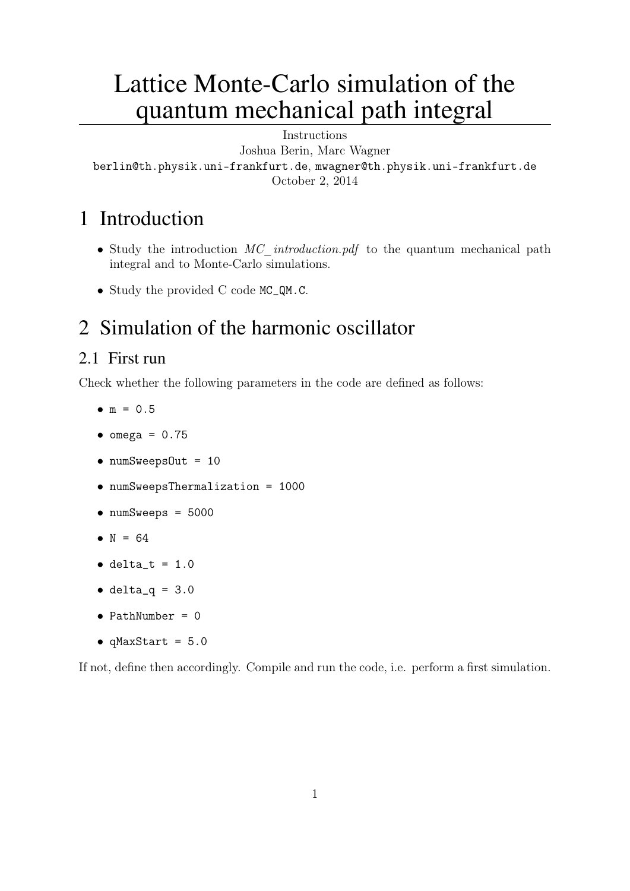# Lattice Monte-Carlo simulation of the quantum mechanical path integral

Instructions Joshua Berin, Marc Wagner berlin@th.physik.uni-frankfurt.de, mwagner@th.physik.uni-frankfurt.de October 2, 2014

## 1 Introduction

- Study the introduction  $MC$  introduction.pdf to the quantum mechanical path integral and to Monte-Carlo simulations.
- Study the provided C code MC\_QM.C.

## 2 Simulation of the harmonic oscillator

### 2.1 First run

Check whether the following parameters in the code are defined as follows:

- $\bullet$  m = 0.5
- $\bullet$  omega = 0.75
- numSweepsOut = 10
- numSweepsThermalization = 1000
- numSweeps = 5000
- $N = 64$
- $\bullet$  delta\_t = 1.0
- $\bullet$  delta\_q = 3.0
- $\bullet$  PathNumber = 0
- $\bullet$  qMaxStart =  $5.0$

If not, define then accordingly. Compile and run the code, i.e. perform a first simulation.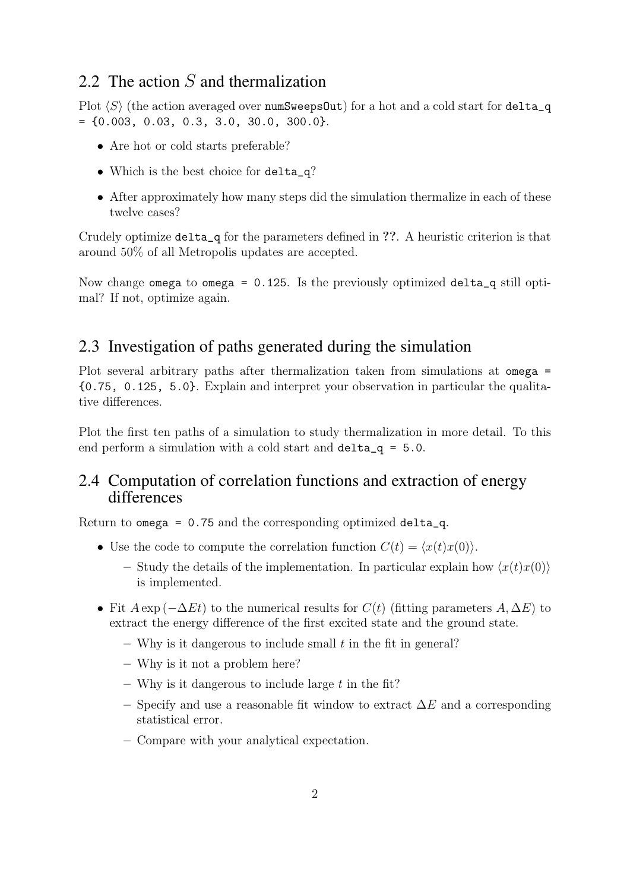## 2.2 The action  $S$  and thermalization

Plot  $\langle S \rangle$  (the action averaged over numSweepsOut) for a hot and a cold start for delta\_q  $= \{0.003, 0.03, 0.3, 3.0, 30.0, 300.0\}.$ 

- Are hot or cold starts preferable?
- Which is the best choice for delta\_q?
- After approximately how many steps did the simulation thermalize in each of these twelve cases?

Crudely optimize delta\_q for the parameters defined in ??. A heuristic criterion is that around 50% of all Metropolis updates are accepted.

Now change omega to omega = 0.125. Is the previously optimized delta\_q still optimal? If not, optimize again.

#### 2.3 Investigation of paths generated during the simulation

Plot several arbitrary paths after thermalization taken from simulations at omega = {0.75, 0.125, 5.0}. Explain and interpret your observation in particular the qualitative differences.

Plot the first ten paths of a simulation to study thermalization in more detail. To this end perform a simulation with a cold start and delta\_q = 5.0.

#### 2.4 Computation of correlation functions and extraction of energy differences

Return to omega = 0.75 and the corresponding optimized delta\_q.

- Use the code to compute the correlation function  $C(t) = \langle x(t)x(0) \rangle$ .
	- Study the details of the implementation. In particular explain how  $\langle x(t)x(0)\rangle$ is implemented.
- Fit  $A \exp(-\Delta E t)$  to the numerical results for  $C(t)$  (fitting parameters  $A, \Delta E$ ) to extract the energy difference of the first excited state and the ground state.
	- Why is it dangerous to include small  $t$  in the fit in general?
	- Why is it not a problem here?
	- Why is it dangerous to include large  $t$  in the fit?
	- Specify and use a reasonable fit window to extract  $\Delta E$  and a corresponding statistical error.
	- Compare with your analytical expectation.